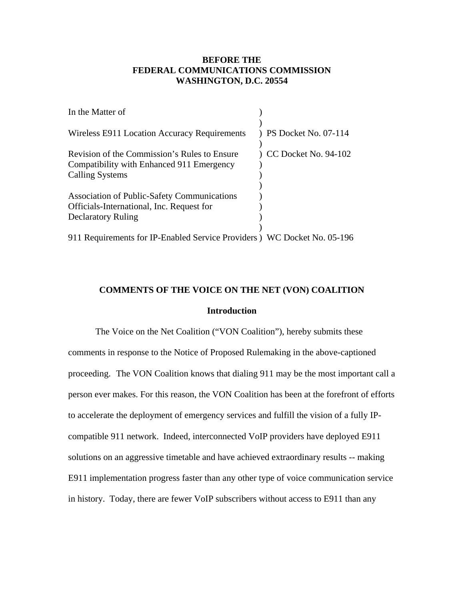# **BEFORE THE FEDERAL COMMUNICATIONS COMMISSION WASHINGTON, D.C. 20554**

| In the Matter of                                                                                                             |                      |
|------------------------------------------------------------------------------------------------------------------------------|----------------------|
| Wireless E911 Location Accuracy Requirements                                                                                 | PS Docket No. 07-114 |
| Revision of the Commission's Rules to Ensure<br>Compatibility with Enhanced 911 Emergency<br><b>Calling Systems</b>          | CC Docket No. 94-102 |
| <b>Association of Public-Safety Communications</b><br>Officials-International, Inc. Request for<br><b>Declaratory Ruling</b> |                      |
| 911 Requirements for IP-Enabled Service Providers ) WC Docket No. 05-196                                                     |                      |

## **COMMENTS OF THE VOICE ON THE NET (VON) COALITION**

#### **Introduction**

The Voice on the Net Coalition ("VON Coalition"), hereby submits these comments in response to the Notice of Proposed Rulemaking in the above-captioned proceeding. The VON Coalition knows that dialing 911 may be the most important call a person ever makes. For this reason, the VON Coalition has been at the forefront of efforts to accelerate the deployment of emergency services and fulfill the vision of a fully IPcompatible 911 network. Indeed, interconnected VoIP providers have deployed E911 solutions on an aggressive timetable and have achieved extraordinary results -- making E911 implementation progress faster than any other type of voice communication service in history. Today, there are fewer VoIP subscribers without access to E911 than any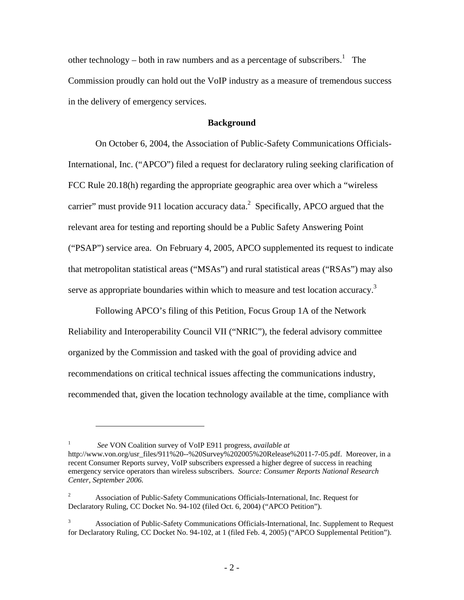other technology – both in raw numbers and as a percentage of subscribers.<sup>1</sup> The Commission proudly can hold out the VoIP industry as a measure of tremendous success in the delivery of emergency services.

## **Background**

 On October 6, 2004, the Association of Public-Safety Communications Officials-International, Inc. ("APCO") filed a request for declaratory ruling seeking clarification of FCC Rule 20.18(h) regarding the appropriate geographic area over which a "wireless carrier" must provide 911 location accuracy data.<sup>2</sup> Specifically, APCO argued that the relevant area for testing and reporting should be a Public Safety Answering Point ("PSAP") service area. On February 4, 2005, APCO supplemented its request to indicate that metropolitan statistical areas ("MSAs") and rural statistical areas ("RSAs") may also serve as appropriate boundaries within which to measure and test location accuracy.<sup>3</sup>

Following APCO's filing of this Petition, Focus Group 1A of the Network Reliability and Interoperability Council VII ("NRIC"), the federal advisory committee organized by the Commission and tasked with the goal of providing advice and recommendations on critical technical issues affecting the communications industry, recommended that, given the location technology available at the time, compliance with

<u>.</u>

<sup>1</sup> *See* VON Coalition survey of VoIP E911 progress, *available at*  http://www.von.org/usr\_files/911%20--%20Survey%202005%20Release%2011-7-05.pdf. Moreover, in a recent Consumer Reports survey, VoIP subscribers expressed a higher degree of success in reaching emergency service operators than wireless subscribers. *Source: Consumer Reports National Research Center, September 2006.* 

<sup>2</sup> Association of Public-Safety Communications Officials-International, Inc. Request for Declaratory Ruling, CC Docket No. 94-102 (filed Oct. 6, 2004) ("APCO Petition").

<sup>3</sup> Association of Public-Safety Communications Officials-International, Inc. Supplement to Request for Declaratory Ruling, CC Docket No. 94-102, at 1 (filed Feb. 4, 2005) ("APCO Supplemental Petition").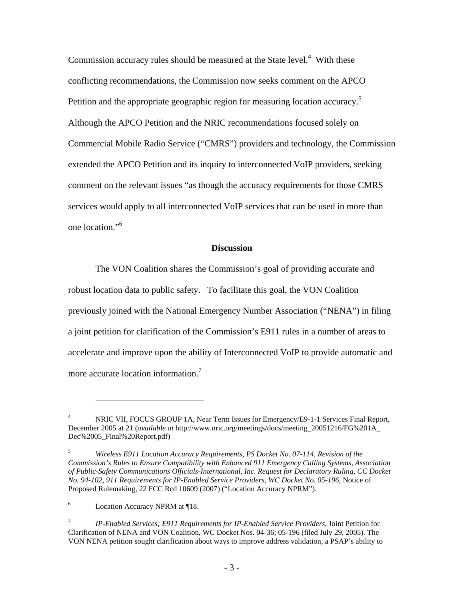Commission accuracy rules should be measured at the State level.<sup>4</sup> With these conflicting recommendations, the Commission now seeks comment on the APCO Petition and the appropriate geographic region for measuring location accuracy.<sup>5</sup> Although the APCO Petition and the NRIC recommendations focused solely on Commercial Mobile Radio Service ("CMRS") providers and technology, the Commission extended the APCO Petition and its inquiry to interconnected VoIP providers, seeking comment on the relevant issues "as though the accuracy requirements for those CMRS services would apply to all interconnected VoIP services that can be used in more than one location."<sup>6</sup>

#### **Discussion**

The VON Coalition shares the Commission's goal of providing accurate and robust location data to public safety. To facilitate this goal, the VON Coalition previously joined with the National Emergency Number Association ("NENA") in filing a joint petition for clarification of the Commission's E911 rules in a number of areas to accelerate and improve upon the ability of Interconnected VoIP to provide automatic and more accurate location information.<sup>7</sup>

<u>.</u>

<sup>4</sup> NRIC VII, FOCUS GROUP 1A, Near Term Issues for Emergency/E9-1-1 Services Final Report, December 2005 at 21 (*available at* http://www.nric.org/meetings/docs/meeting\_20051216/FG%201A\_ Dec%2005\_Final%20Report.pdf)

<sup>5</sup> *Wireless E911 Location Accuracy Requirements, PS Docket No. 07-114, Revision of the Commission's Rules to Ensure Compatibility with Enhanced 911 Emergency Calling Systems, Association of Public-Safety Communications Officials-International, Inc. Request for Declaratory Ruling, CC Docket No. 94-102, 911 Requirements for IP-Enabled Service Providers, WC Docket No. 05-196*, Notice of Proposed Rulemaking, 22 FCC Rcd 10609 (2007) ("Location Accuracy NPRM").

<sup>6</sup> Location Accuracy NPRM at ¶18.

<sup>7</sup> *IP-Enabled Services; E911 Requirements for IP-Enabled Service Providers*, Joint Petition for Clarification of NENA and VON Coalition, WC Docket Nos. 04-36; 05-196 (filed July 29, 2005). The VON NENA petition sought clarification about ways to improve address validation, a PSAP's ability to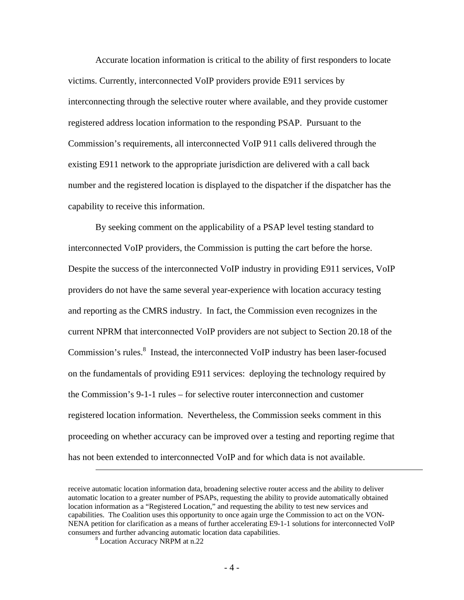Accurate location information is critical to the ability of first responders to locate victims. Currently, interconnected VoIP providers provide E911 services by interconnecting through the selective router where available, and they provide customer registered address location information to the responding PSAP. Pursuant to the Commission's requirements, all interconnected VoIP 911 calls delivered through the existing E911 network to the appropriate jurisdiction are delivered with a call back number and the registered location is displayed to the dispatcher if the dispatcher has the capability to receive this information.

By seeking comment on the applicability of a PSAP level testing standard to interconnected VoIP providers, the Commission is putting the cart before the horse. Despite the success of the interconnected VoIP industry in providing E911 services, VoIP providers do not have the same several year-experience with location accuracy testing and reporting as the CMRS industry. In fact, the Commission even recognizes in the current NPRM that interconnected VoIP providers are not subject to Section 20.18 of the Commission's rules.<sup>8</sup> Instead, the interconnected VoIP industry has been laser-focused on the fundamentals of providing E911 services: deploying the technology required by the Commission's 9-1-1 rules – for selective router interconnection and customer registered location information. Nevertheless, the Commission seeks comment in this proceeding on whether accuracy can be improved over a testing and reporting regime that has not been extended to interconnected VoIP and for which data is not available.

 $\overline{a}$ 

receive automatic location information data, broadening selective router access and the ability to deliver automatic location to a greater number of PSAPs, requesting the ability to provide automatically obtained location information as a "Registered Location," and requesting the ability to test new services and capabilities. The Coalition uses this opportunity to once again urge the Commission to act on the VON-NENA petition for clarification as a means of further accelerating E9-1-1 solutions for interconnected VoIP consumers and further advancing automatic location data capabilities.

Location Accuracy NRPM at n.22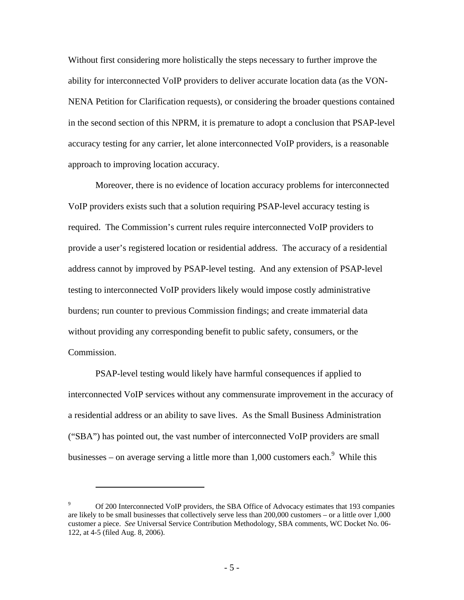Without first considering more holistically the steps necessary to further improve the ability for interconnected VoIP providers to deliver accurate location data (as the VON-NENA Petition for Clarification requests), or considering the broader questions contained in the second section of this NPRM, it is premature to adopt a conclusion that PSAP-level accuracy testing for any carrier, let alone interconnected VoIP providers, is a reasonable approach to improving location accuracy.

Moreover, there is no evidence of location accuracy problems for interconnected VoIP providers exists such that a solution requiring PSAP-level accuracy testing is required. The Commission's current rules require interconnected VoIP providers to provide a user's registered location or residential address. The accuracy of a residential address cannot by improved by PSAP-level testing. And any extension of PSAP-level testing to interconnected VoIP providers likely would impose costly administrative burdens; run counter to previous Commission findings; and create immaterial data without providing any corresponding benefit to public safety, consumers, or the Commission.

PSAP-level testing would likely have harmful consequences if applied to interconnected VoIP services without any commensurate improvement in the accuracy of a residential address or an ability to save lives. As the Small Business Administration ("SBA") has pointed out, the vast number of interconnected VoIP providers are small businesses – on average serving a little more than  $1,000$  customers each.<sup>9</sup> While this

 $\overline{a}$ 

<sup>9</sup> Of 200 Interconnected VoIP providers, the SBA Office of Advocacy estimates that 193 companies are likely to be small businesses that collectively serve less than 200,000 customers – or a little over 1,000 customer a piece. *See* Universal Service Contribution Methodology, SBA comments, WC Docket No. 06- 122, at 4-5 (filed Aug. 8, 2006).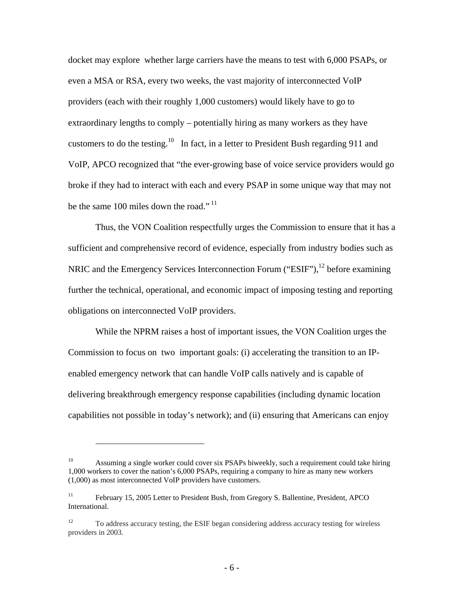docket may explore whether large carriers have the means to test with 6,000 PSAPs, or even a MSA or RSA, every two weeks, the vast majority of interconnected VoIP providers (each with their roughly 1,000 customers) would likely have to go to extraordinary lengths to comply – potentially hiring as many workers as they have customers to do the testing.<sup>10</sup> In fact, in a letter to President Bush regarding 911 and VoIP, APCO recognized that "the ever-growing base of voice service providers would go broke if they had to interact with each and every PSAP in some unique way that may not be the same 100 miles down the road."<sup>11</sup>

Thus, the VON Coalition respectfully urges the Commission to ensure that it has a sufficient and comprehensive record of evidence, especially from industry bodies such as NRIC and the Emergency Services Interconnection Forum ("ESIF"), $^{12}$  before examining further the technical, operational, and economic impact of imposing testing and reporting obligations on interconnected VoIP providers.

While the NPRM raises a host of important issues, the VON Coalition urges the Commission to focus on two important goals: (i) accelerating the transition to an IPenabled emergency network that can handle VoIP calls natively and is capable of delivering breakthrough emergency response capabilities (including dynamic location capabilities not possible in today's network); and (ii) ensuring that Americans can enjoy

 $\overline{a}$ 

<sup>&</sup>lt;sup>10</sup> Assuming a single worker could cover six PSAPs biweekly, such a requirement could take hiring 1,000 workers to cover the nation's 6,000 PSAPs, requiring a company to hire as many new workers (1,000) as most interconnected VoIP providers have customers.

<sup>&</sup>lt;sup>11</sup> February 15, 2005 Letter to President Bush, from Gregory S. Ballentine, President, APCO International.

<sup>&</sup>lt;sup>12</sup> To address accuracy testing, the ESIF began considering address accuracy testing for wireless providers in 2003.